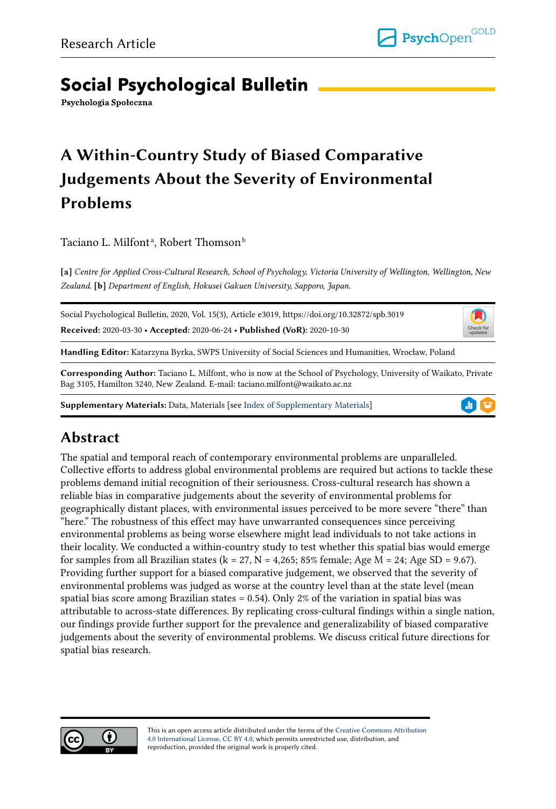# **Social Psychological Bulletin**

Psychologia Społeczna

# A Within-Country Study of Biased Comparative Judgements About the Severity of Environmental Problems

Taciano L. Milfontª, Robert Thomsonʰ

[a] Centre for Applied Cross-Cultural Research, School of Psychology, Victoria University of Wellington, Wellington, New Zealand. [b] Department of English, Hokusei Gakuen University, Sapporo, Japan.

Social Psychological Bulletin, 2020, Vol. 15(3), Article e3019, https://doi.org/10.32872/spb.3019

Received: 2020-03-30 • Accepted: 2020-06-24 • Published (VoR): 2020-10-30

Handling Editor: Katarzyna Byrka, SWPS University of Social Sciences and Humanities, Wrocław, Poland

Corresponding Author: Taciano L. Milfont, who is now at the School of Psychology, University of Waikato, Private Bag 3105, Hamilton 3240, New Zealand. E-mail: taciano.milfont@waikato.ac.nz

Supplementary Materials: Data, Materials [see [Index of Supplementary Materials\]](#page-17-0)



 $\mathsf{L}$ Check fo<br>update:

# Abstract

The spatial and temporal reach of contemporary environmental problems are unparalleled. Collective efforts to address global environmental problems are required but actions to tackle these problems demand initial recognition of their seriousness. Cross-cultural research has shown a reliable bias in comparative judgements about the severity of environmental problems for geographically distant places, with environmental issues perceived to be more severe "there" than "here." The robustness of this effect may have unwarranted consequences since perceiving environmental problems as being worse elsewhere might lead individuals to not take actions in their locality. We conducted a within-country study to test whether this spatial bias would emerge for samples from all Brazilian states (k = 27, N = 4,265; 85% female; Age M = 24; Age SD = 9.67). Providing further support for a biased comparative judgement, we observed that the severity of environmental problems was judged as worse at the country level than at the state level (mean spatial bias score among Brazilian states = 0.54). Only 2% of the variation in spatial bias was attributable to across-state differences. By replicating cross-cultural findings within a single nation, our findings provide further support for the prevalence and generalizability of biased comparative judgements about the severity of environmental problems. We discuss critical future directions for spatial bias research.



This is an open access article distributed under the terms of the [Creative Commons Attribution](https://creativecommons.org/licenses/by/4.0/) [4.0 International License, CC BY 4.0,](https://creativecommons.org/licenses/by/4.0/) which permits unrestricted use, distribution, and reproduction, provided the original work is properly cited.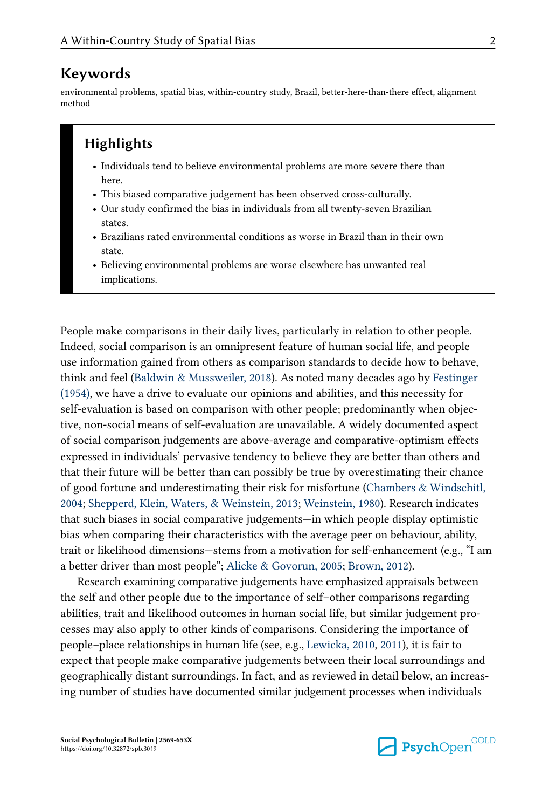### Keywords

environmental problems, spatial bias, within-country study, Brazil, better-here-than-there effect, alignment method

## **Highlights**

- Individuals tend to believe environmental problems are more severe there than here.
- This biased comparative judgement has been observed cross-culturally.
- Our study confirmed the bias in individuals from all twenty-seven Brazilian states.
- Brazilians rated environmental conditions as worse in Brazil than in their own state.
- Believing environmental problems are worse elsewhere has unwanted real implications.

People make comparisons in their daily lives, particularly in relation to other people. Indeed, social comparison is an omnipresent feature of human social life, and people use information gained from others as comparison standards to decide how to behave, think and feel [\(Baldwin & Mussweiler, 2018](#page-18-0)). As noted many decades ago by [Festinger](#page-18-0) [\(1954\),](#page-18-0) we have a drive to evaluate our opinions and abilities, and this necessity for self-evaluation is based on comparison with other people; predominantly when objective, non-social means of self-evaluation are unavailable. A widely documented aspect of social comparison judgements are above-average and comparative-optimism effects expressed in individuals' pervasive tendency to believe they are better than others and that their future will be better than can possibly be true by overestimating their chance of good fortune and underestimating their risk for misfortune [\(Chambers & Windschitl,](#page-18-0) [2004;](#page-18-0) [Shepperd, Klein, Waters, & Weinstein, 2013;](#page-20-0) [Weinstein, 1980](#page-21-0)). Research indicates that such biases in social comparative judgements—in which people display optimistic bias when comparing their characteristics with the average peer on behaviour, ability, trait or likelihood dimensions—stems from a motivation for self-enhancement (e.g., "I am a better driver than most people"; [Alicke & Govorun, 2005](#page-18-0); [Brown, 2012\)](#page-18-0).

Research examining comparative judgements have emphasized appraisals between the self and other people due to the importance of self–other comparisons regarding abilities, trait and likelihood outcomes in human social life, but similar judgement pro‐ cesses may also apply to other kinds of comparisons. Considering the importance of people–place relationships in human life (see, e.g., [Lewicka, 2010](#page-19-0), [2011\)](#page-19-0), it is fair to expect that people make comparative judgements between their local surroundings and geographically distant surroundings. In fact, and as reviewed in detail below, an increas‐ ing number of studies have documented similar judgement processes when individuals

Social Psychological Bulletin | 2569-653X https://doi.org/10.32872/spb.3019

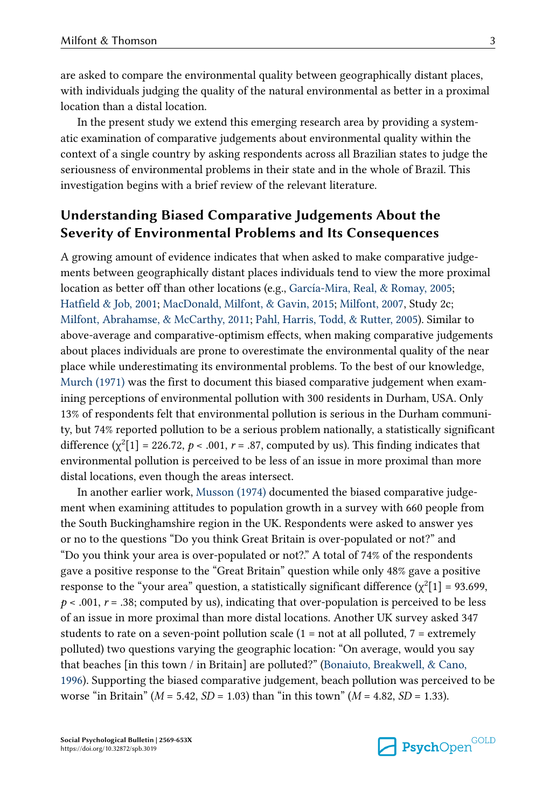are asked to compare the environmental quality between geographically distant places, with individuals judging the quality of the natural environmental as better in a proximal location than a distal location.

In the present study we extend this emerging research area by providing a system‐ atic examination of comparative judgements about environmental quality within the context of a single country by asking respondents across all Brazilian states to judge the seriousness of environmental problems in their state and in the whole of Brazil. This investigation begins with a brief review of the relevant literature.

## Understanding Biased Comparative Judgements About the Severity of Environmental Problems and Its Consequences

A growing amount of evidence indicates that when asked to make comparative judge‐ ments between geographically distant places individuals tend to view the more proximal location as better off than other locations (e.g., [García-Mira, Real, & Romay, 2005;](#page-19-0) [Hatfield & Job, 2001](#page-19-0); [MacDonald, Milfont, & Gavin, 2015](#page-19-0); [Milfont, 2007,](#page-19-0) Study 2c; [Milfont, Abrahamse, & McCarthy, 2011](#page-19-0); [Pahl, Harris, Todd, & Rutter, 2005\)](#page-20-0). Similar to above-average and comparative-optimism effects, when making comparative judgements about places individuals are prone to overestimate the environmental quality of the near place while underestimating its environmental problems. To the best of our knowledge, [Murch \(1971\)](#page-20-0) was the first to document this biased comparative judgement when examining perceptions of environmental pollution with 300 residents in Durham, USA. Only 13% of respondents felt that environmental pollution is serious in the Durham communi‐ ty, but 74% reported pollution to be a serious problem nationally, a statistically significant difference ( $\chi^2[1]$  = 226.72, p < .001, r = .87, computed by us). This finding indicates that environmental pollution is perceived to be less of an issue in more proximal than more distal locations, even though the areas intersect.

In another earlier work, [Musson \(1974\)](#page-20-0) documented the biased comparative judge‐ ment when examining attitudes to population growth in a survey with 660 people from the South Buckinghamshire region in the UK. Respondents were asked to answer yes or no to the questions "Do you think Great Britain is over-populated or not?" and "Do you think your area is over-populated or not?." A total of 74% of the respondents gave a positive response to the "Great Britain" question while only 48% gave a positive response to the "your area" question, a statistically significant difference  $(\chi^2[1] = 93.699,$  $p < .001$ ,  $r = .38$ ; computed by us), indicating that over-population is perceived to be less of an issue in more proximal than more distal locations. Another UK survey asked 347 students to rate on a seven-point pollution scale  $(1 = not at all polluted, 7 = extremely$ polluted) two questions varying the geographic location: "On average, would you say that beaches [in this town / in Britain] are polluted?" ([Bonaiuto, Breakwell, & Cano,](#page-18-0) [1996\)](#page-18-0). Supporting the biased comparative judgement, beach pollution was perceived to be worse "in Britain" ( $M = 5.42$ ,  $SD = 1.03$ ) than "in this town" ( $M = 4.82$ ,  $SD = 1.33$ ).

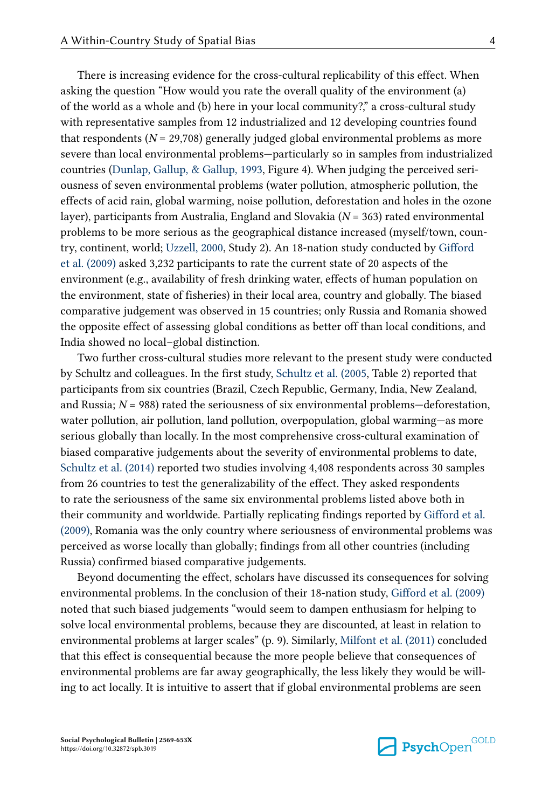There is increasing evidence for the cross-cultural replicability of this effect. When asking the question "How would you rate the overall quality of the environment (a) of the world as a whole and (b) here in your local community?," a cross-cultural study with representative samples from 12 industrialized and 12 developing countries found that respondents ( $N = 29,708$ ) generally judged global environmental problems as more severe than local environmental problems—particularly so in samples from industrialized countries (Dunlap, Gallup,  $\&$  Gallup, 1993, Figure 4). When judging the perceived seriousness of seven environmental problems (water pollution, atmospheric pollution, the effects of acid rain, global warming, noise pollution, deforestation and holes in the ozone layer), participants from Australia, England and Slovakia  $(N = 363)$  rated environmental problems to be more serious as the geographical distance increased (myself/town, country, continent, world; [Uzzell, 2000,](#page-21-0) Study 2). An 18-nation study conducted by [Gifford](#page-19-0) [et al. \(2009\)](#page-19-0) asked 3,232 participants to rate the current state of 20 aspects of the environment (e.g., availability of fresh drinking water, effects of human population on the environment, state of fisheries) in their local area, country and globally. The biased comparative judgement was observed in 15 countries; only Russia and Romania showed the opposite effect of assessing global conditions as better off than local conditions, and India showed no local–global distinction.

Two further cross-cultural studies more relevant to the present study were conducted by Schultz and colleagues. In the first study, [Schultz et al. \(2005,](#page-20-0) Table 2) reported that participants from six countries (Brazil, Czech Republic, Germany, India, New Zealand, and Russia;  $N = 988$ ) rated the seriousness of six environmental problems—deforestation, water pollution, air pollution, land pollution, overpopulation, global warming—as more serious globally than locally. In the most comprehensive cross-cultural examination of biased comparative judgements about the severity of environmental problems to date, [Schultz et al. \(2014\)](#page-20-0) reported two studies involving 4,408 respondents across 30 samples from 26 countries to test the generalizability of the effect. They asked respondents to rate the seriousness of the same six environmental problems listed above both in their community and worldwide. Partially replicating findings reported by [Gifford et al.](#page-19-0) [\(2009\),](#page-19-0) Romania was the only country where seriousness of environmental problems was perceived as worse locally than globally; findings from all other countries (including Russia) confirmed biased comparative judgements.

Beyond documenting the effect, scholars have discussed its consequences for solving environmental problems. In the conclusion of their 18-nation study, [Gifford et al. \(2009\)](#page-19-0) noted that such biased judgements "would seem to dampen enthusiasm for helping to solve local environmental problems, because they are discounted, at least in relation to environmental problems at larger scales" (p. 9). Similarly, [Milfont et al. \(2011\)](#page-19-0) concluded that this effect is consequential because the more people believe that consequences of environmental problems are far away geographically, the less likely they would be willing to act locally. It is intuitive to assert that if global environmental problems are seen

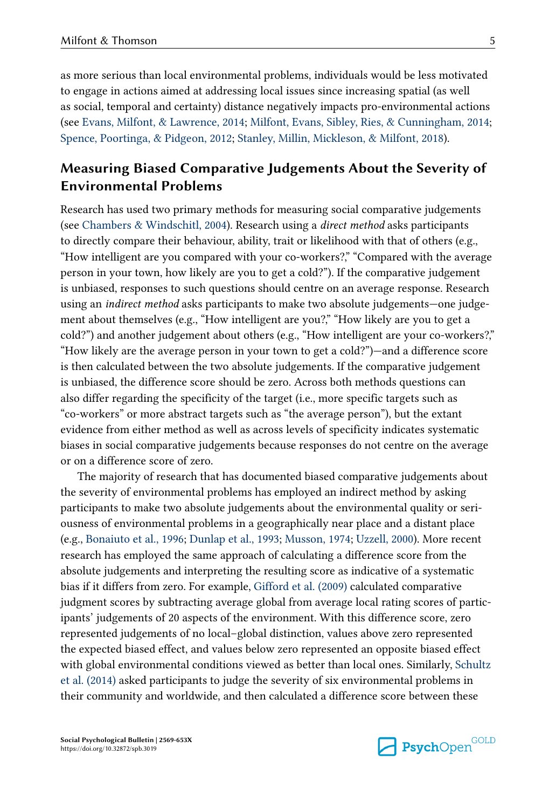as more serious than local environmental problems, individuals would be less motivated to engage in actions aimed at addressing local issues since increasing spatial (as well as social, temporal and certainty) distance negatively impacts pro-environmental actions (see [Evans, Milfont, & Lawrence, 2014;](#page-18-0) [Milfont, Evans, Sibley, Ries, & Cunningham, 2014;](#page-20-0) [Spence, Poortinga, & Pidgeon, 2012](#page-20-0); [Stanley, Millin, Mickleson, & Milfont, 2018](#page-20-0)).

## Measuring Biased Comparative Judgements About the Severity of Environmental Problems

Research has used two primary methods for measuring social comparative judgements (see [Chambers & Windschitl, 2004\)](#page-18-0). Research using a direct method asks participants to directly compare their behaviour, ability, trait or likelihood with that of others (e.g., "How intelligent are you compared with your co-workers?," "Compared with the average person in your town, how likely are you to get a cold?"). If the comparative judgement is unbiased, responses to such questions should centre on an average response. Research using an *indirect method* asks participants to make two absolute judgements—one judgement about themselves (e.g., "How intelligent are you?," "How likely are you to get a cold?") and another judgement about others (e.g., "How intelligent are your co-workers?," "How likely are the average person in your town to get a cold?")—and a difference score is then calculated between the two absolute judgements. If the comparative judgement is unbiased, the difference score should be zero. Across both methods questions can also differ regarding the specificity of the target (i.e., more specific targets such as "co-workers" or more abstract targets such as "the average person"), but the extant evidence from either method as well as across levels of specificity indicates systematic biases in social comparative judgements because responses do not centre on the average or on a difference score of zero.

The majority of research that has documented biased comparative judgements about the severity of environmental problems has employed an indirect method by asking participants to make two absolute judgements about the environmental quality or seri‐ ousness of environmental problems in a geographically near place and a distant place (e.g., [Bonaiuto et al., 1996;](#page-18-0) [Dunlap et al., 1993](#page-18-0); [Musson, 1974](#page-20-0); [Uzzell, 2000](#page-21-0)). More recent research has employed the same approach of calculating a difference score from the absolute judgements and interpreting the resulting score as indicative of a systematic bias if it differs from zero. For example, [Gifford et al. \(2009\)](#page-19-0) calculated comparative judgment scores by subtracting average global from average local rating scores of partic‐ ipants' judgements of 20 aspects of the environment. With this difference score, zero represented judgements of no local–global distinction, values above zero represented the expected biased effect, and values below zero represented an opposite biased effect with global environmental conditions viewed as better than local ones. Similarly, [Schultz](#page-20-0) [et al. \(2014\)](#page-20-0) asked participants to judge the severity of six environmental problems in their community and worldwide, and then calculated a difference score between these

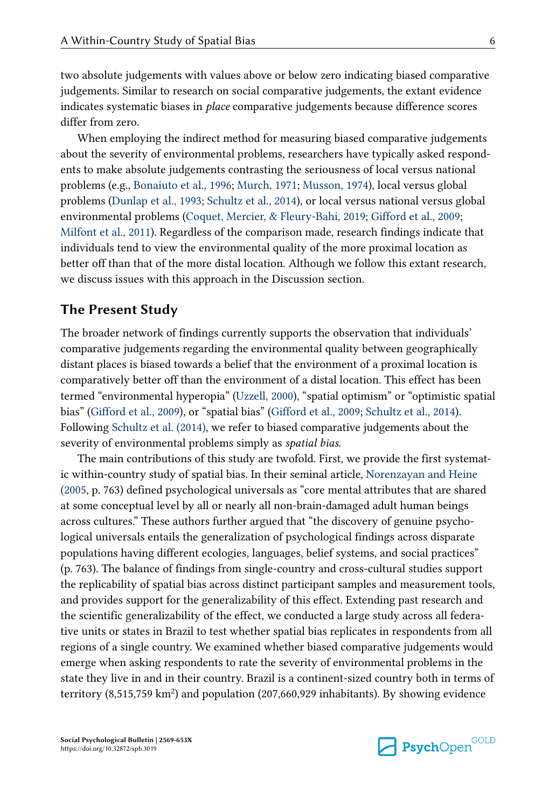two absolute judgements with values above or below zero indicating biased comparative judgements. Similar to research on social comparative judgements, the extant evidence indicates systematic biases in *place* comparative judgements because difference scores differ from zero.

When employing the indirect method for measuring biased comparative judgements about the severity of environmental problems, researchers have typically asked respond‐ ents to make absolute judgements contrasting the seriousness of local versus national problems (e.g., [Bonaiuto et al., 1996;](#page-18-0) [Murch, 1971](#page-20-0); [Musson, 1974](#page-20-0)), local versus global problems [\(Dunlap et al., 1993;](#page-18-0) [Schultz et al., 2014\)](#page-20-0), or local versus national versus global environmental problems [\(Coquet, Mercier, & Fleury-Bahi, 2019;](#page-18-0) [Gifford et al., 2009](#page-19-0); [Milfont et al., 2011\)](#page-19-0). Regardless of the comparison made, research findings indicate that individuals tend to view the environmental quality of the more proximal location as better off than that of the more distal location. Although we follow this extant research, we discuss issues with this approach in the Discussion section.

### The Present Study

The broader network of findings currently supports the observation that individuals' comparative judgements regarding the environmental quality between geographically distant places is biased towards a belief that the environment of a proximal location is comparatively better off than the environment of a distal location. This effect has been termed "environmental hyperopia" ([Uzzell, 2000\)](#page-21-0), "spatial optimism" or "optimistic spatial bias" [\(Gifford et al., 2009](#page-19-0)), or "spatial bias" [\(Gifford et al., 2009](#page-19-0); [Schultz et al., 2014](#page-20-0)). Following [Schultz et al. \(2014\)](#page-20-0), we refer to biased comparative judgements about the severity of environmental problems simply as spatial bias.

The main contributions of this study are twofold. First, we provide the first systemat‐ ic within-country study of spatial bias. In their seminal article, [Norenzayan and Heine](#page-20-0) [\(2005,](#page-20-0) p. 763) defined psychological universals as "core mental attributes that are shared at some conceptual level by all or nearly all non-brain-damaged adult human beings across cultures." These authors further argued that "the discovery of genuine psycho‐ logical universals entails the generalization of psychological findings across disparate populations having different ecologies, languages, belief systems, and social practices" (p. 763). The balance of findings from single-country and cross-cultural studies support the replicability of spatial bias across distinct participant samples and measurement tools, and provides support for the generalizability of this effect. Extending past research and the scientific generalizability of the effect, we conducted a large study across all federative units or states in Brazil to test whether spatial bias replicates in respondents from all regions of a single country. We examined whether biased comparative judgements would emerge when asking respondents to rate the severity of environmental problems in the state they live in and in their country. Brazil is a continent-sized country both in terms of territory (8,515,759 km<sup>2</sup>) and population (207,660,929 inhabitants). By showing evidence

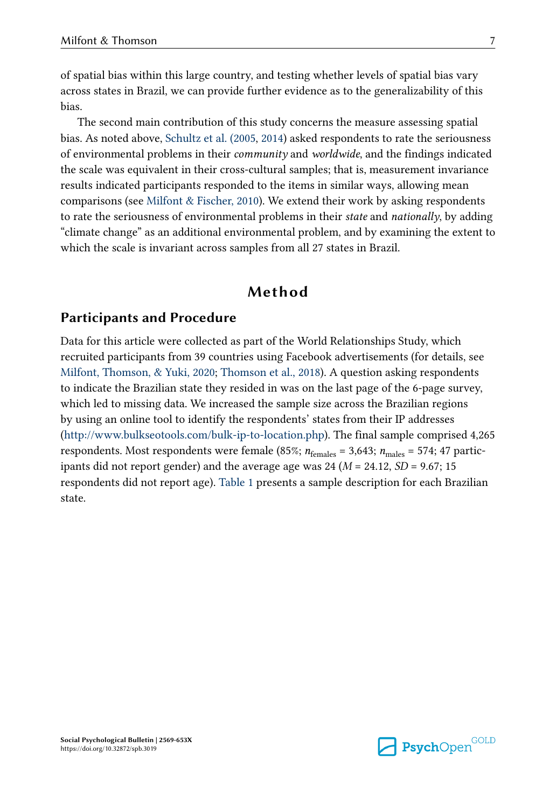of spatial bias within this large country, and testing whether levels of spatial bias vary across states in Brazil, we can provide further evidence as to the generalizability of this bias.

The second main contribution of this study concerns the measure assessing spatial bias. As noted above, [Schultz et al. \(2005](#page-20-0), [2014\)](#page-20-0) asked respondents to rate the seriousness of environmental problems in their community and worldwide, and the findings indicated the scale was equivalent in their cross-cultural samples; that is, measurement invariance results indicated participants responded to the items in similar ways, allowing mean comparisons (see [Milfont & Fischer, 2010\)](#page-20-0). We extend their work by asking respondents to rate the seriousness of environmental problems in their *state* and *nationally*, by adding "climate change" as an additional environmental problem, and by examining the extent to which the scale is invariant across samples from all 27 states in Brazil.

## Method

### Participants and Procedure

Data for this article were collected as part of the World Relationships Study, which recruited participants from 39 countries using Facebook advertisements (for details, see [Milfont, Thomson, & Yuki, 2020;](#page-20-0) [Thomson et al., 2018\)](#page-21-0). A question asking respondents to indicate the Brazilian state they resided in was on the last page of the 6-page survey, which led to missing data. We increased the sample size across the Brazilian regions by using an online tool to identify the respondents' states from their IP addresses [\(http://www.bulkseotools.com/bulk-ip-to-location.php](http://www.bulkseotools.com/bulk-ip-to-location.php)). The final sample comprised 4,265 respondents. Most respondents were female (85%;  $n_{\text{females}} = 3,643$ ;  $n_{\text{males}} = 574$ ; 47 participants did not report gender) and the average age was 24 ( $M = 24.12$ ,  $SD = 9.67$ ; 15 respondents did not report age). [Table 1](#page-7-0) presents a sample description for each Brazilian state.

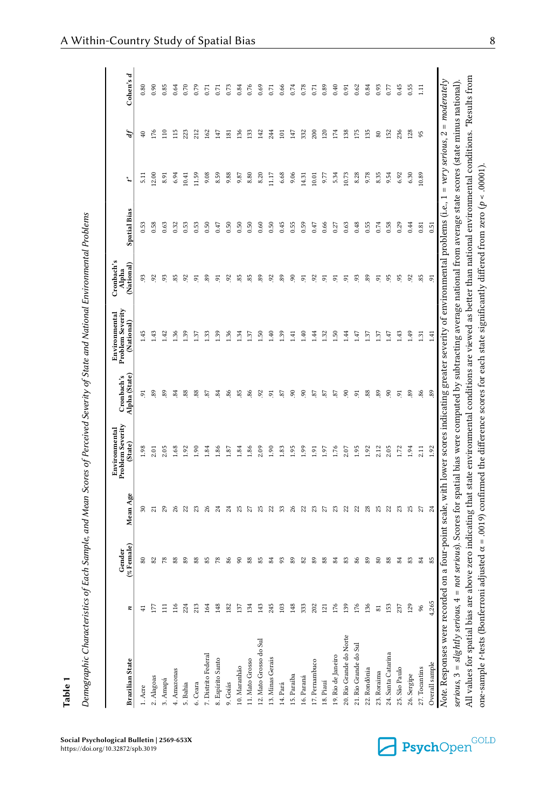Social Psychological Bulletin | 2569-653X https://doi.org/10.32872/spb.3019

Demographic Characteristics of Each Sample, and Mean Scores of Perceived Severity of State and National Environmental Problems

Demographic Characteristics of Each Sample, and Mean Scores of Perceived Severity of State and National Environmental Problems

<span id="page-7-0"></span>

| <b>Brazilian State</b>                                           |                | (%Female)<br>Gender | Mean Age       | Problem Severity<br>Environmental<br>(State)                                                                                                                                                                                                                                                | Alpha (State)<br>Cronbach's | Problem Severity<br>Environmental<br>(National) | Cronbach's<br>Alpha<br>(National) | <b>Spatial Bias</b> | ٦                | $\boldsymbol{d}$ | Cohen's d |
|------------------------------------------------------------------|----------------|---------------------|----------------|---------------------------------------------------------------------------------------------------------------------------------------------------------------------------------------------------------------------------------------------------------------------------------------------|-----------------------------|-------------------------------------------------|-----------------------------------|---------------------|------------------|------------------|-----------|
| 1. Acre                                                          |                | 8                   | వె             | 1.98                                                                                                                                                                                                                                                                                        | 5                           | 1.45                                            | S,                                | 0.53                | $\overline{5}$ . | ុ                | 0.80      |
| 2. Alagoas                                                       |                | 2                   | $\overline{z}$ | 2.01                                                                                                                                                                                                                                                                                        | 89                          | 1.43                                            | 92                                | 0.58                | 12.00            | i76              | 0.90      |
| 3. Amapá                                                         |                | $\approx$           | 29             | 2.05                                                                                                                                                                                                                                                                                        | 89                          | 1.42                                            | g                                 | 0.63                | 8.91             | $\frac{1}{10}$   | 0.85      |
| 4. Amazonas                                                      |                | 88                  | $\frac{8}{3}$  | 1.68                                                                                                                                                                                                                                                                                        | $\mathbb{Z}$                | 1.36                                            | 85                                | 0.32                | 6.94             | 115              | 0.64      |
| 5. Bahia                                                         |                | 89                  | ನ ನ            | 1.92                                                                                                                                                                                                                                                                                        | 88                          | 1.39                                            | S,                                | 0.53                | 10.41            | 223              | 0.70      |
| 6. Ceara                                                         |                | 88                  |                | 1.90                                                                                                                                                                                                                                                                                        | 88                          | 1.37                                            | 5                                 | 0.53                | 11.59            | 212              | 0.79      |
| 7. Distrito Federal                                              | 54             |                     |                | 1.84                                                                                                                                                                                                                                                                                        | 87                          | 1.33                                            | s <sub>o</sub>                    | 0.50                | 9.08             | 162              | 0.71      |
| 8. Espírito Santo                                                | $\frac{48}{5}$ | 55 S                | న న            | 1.86                                                                                                                                                                                                                                                                                        | 84                          | 1.39                                            | 5                                 | 0.47                | 8.59             | 147              | 0.71      |
| 9. Goiás                                                         |                | 86                  | $\mathbb{Z}^4$ | 1.87                                                                                                                                                                                                                                                                                        | 86                          | 1.36                                            | $\frac{5}{2}$                     | 0.50                | 9.88             | $\overline{181}$ | 0.73      |
| 10. Maranhão                                                     |                | 8                   | 25             | 1.84                                                                                                                                                                                                                                                                                        | 85                          | 1.34                                            | 35                                | 0.50                | 9.87             | 136              | 0.84      |
| 11. Mato Grosso                                                  |                | 88                  | $\overline{z}$ | 1.86                                                                                                                                                                                                                                                                                        | 86                          | 1.37                                            | 85                                | 0.50                | 8.80             | 133              | 0.76      |
| 12. Mato Grosso do Sul                                           |                | 85                  | 25             | 2.09                                                                                                                                                                                                                                                                                        | $\overline{5}$              | 1.50                                            | s <sub>o</sub>                    | 0.60                | 8.20             | 142              | 0.69      |
| 13. Minas Gerais                                                 |                | $^{84}$             | ನ ಐ            | 1.90                                                                                                                                                                                                                                                                                        | 5                           | 1.40                                            | $\frac{5}{2}$                     | 0.50                | 11.17            | 244              | 0.71      |
| 14. Pará                                                         |                | 3                   |                | 1.83                                                                                                                                                                                                                                                                                        | -87                         | 1.39                                            | 89                                | 0.45                | 6.68             | $\Xi$            | 0.66      |
| 15. Paraíba                                                      |                | 89                  | ನೆ ನಿ          | 1.95                                                                                                                                                                                                                                                                                        | $\tilde{e}$                 | 1.41                                            | 8                                 | 0.55                | 9.06             | 147              | 0.74      |
| 16. Paraná                                                       |                | 82                  |                | 1.99                                                                                                                                                                                                                                                                                        | S.                          | 1.40                                            | 5                                 | 0.59                | 14.31            | 332              | 0.78      |
| 17. Pernambuco                                                   | 202            | $_{89}$             | $\mathbb{S}^2$ | 1.91                                                                                                                                                                                                                                                                                        | -87                         | 1.44                                            | $\frac{5}{2}$                     | 0.47                | 10.01            | 200              | 0.71      |
| 18. Piauí                                                        | $\overline{2}$ | 88                  | $\sqrt{2}$     | 1.97                                                                                                                                                                                                                                                                                        | -87                         | 1.32                                            | 5                                 | 0.66                | 9.77             | $\overline{20}$  | 0.89      |
| 19. Rio de Janeiro                                               | č              | 84                  | 23             | 1.76                                                                                                                                                                                                                                                                                        | 22                          | 1.50                                            | 5                                 | 0.27                | 5.34             | 174              | 0.40      |
| 20. Rio Grande do Norte                                          | $\frac{8}{2}$  | 83                  | 22             | 2.07                                                                                                                                                                                                                                                                                        | $\overline{6}$              | 1.44                                            | 5                                 | 0.63                | 10.73            | 138              | 0.91      |
| 21. Rio Grande do Sul                                            |                | 86                  | 22             | 1.95                                                                                                                                                                                                                                                                                        | 5                           | 1.47                                            | s.                                | 0.48                | 8.28             | 175              | 0.62      |
| 22. Rondônia                                                     | 86             | 89                  | 28             | 1.92                                                                                                                                                                                                                                                                                        | 88                          | 1.37                                            | 89                                | 0.55                | 9.78             | 135              | 0.84      |
| 23. Roraima                                                      |                | 80                  | 25             | 2.12                                                                                                                                                                                                                                                                                        | 89                          | 1.37                                            | 5                                 | 0.74                | 8.35             | 80               | 0.93      |
| 24. Santa Catarina                                               | 153            | 88                  | 22             | 2.05                                                                                                                                                                                                                                                                                        | 8                           | 1.47                                            | 95                                | 0.58                | 9.54             | 152              | 0.77      |
| 25. São Paulo                                                    | 237            | 84                  | 23             | 1.72                                                                                                                                                                                                                                                                                        | 5                           | 1.43                                            | 56                                | 0.29                | 6.92             | 236              | 0.45      |
| 26. Sergipe                                                      | 129            | 83                  | 25             | 1.94                                                                                                                                                                                                                                                                                        | 89                          | 1.49                                            | 92                                | 0.44                | 6.30             | 128              | 0.55      |
| 27. Tocantins                                                    | 96             | 84                  | 27             | 2.11                                                                                                                                                                                                                                                                                        | 86                          | 1.31                                            | 85                                | 0.81                | 10.89            | 95               | $\Xi$     |
| $\mbox{Overall sample}$                                          | 4,265          | 85                  | $^{24}$        | 1.92                                                                                                                                                                                                                                                                                        | 89                          | 1.41                                            | 5                                 | 0.51                |                  |                  |           |
| Note. Responses were record<br>$series, 3 = slightly$ serious, 4 |                |                     |                | led on a four-point scale, with lower scores indicating greater severity of environmental problems (i.e., 1 = <i>very serious, 2 = moderately</i><br>= not serious). Scores for spatial bias were computed by subtracting average national from average state scores (state minus national) |                             |                                                 |                                   |                     |                  |                  |           |
| All values for spatial bias are                                  |                |                     |                | above zero indicating that state environmental conditions are viewed as better than national environmental conditions. Results from                                                                                                                                                         |                             |                                                 |                                   |                     |                  |                  |           |

one-sample t-tests (Bonferroni adjusted  $\alpha$  = .0019) confirmed the difference scores for each state significantly differed from zero ( $p$  < .00001).

one-sample r-tests (Bonferroni adjusted  $\alpha$  = .0019) confirmed the difference scores for each state significantly differed from zero ( $p$  < .00001).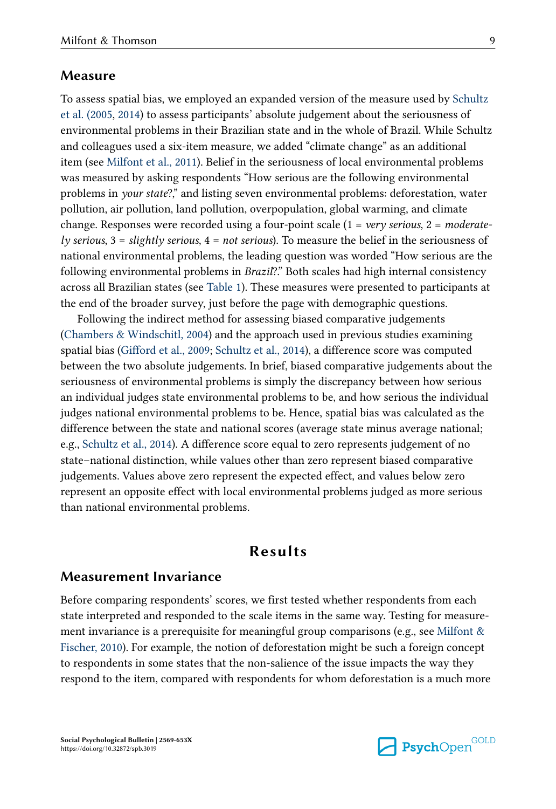#### Measure

To assess spatial bias, we employed an expanded version of the measure used by [Schultz](#page-20-0) [et al. \(2005, 2014\)](#page-20-0) to assess participants' absolute judgement about the seriousness of environmental problems in their Brazilian state and in the whole of Brazil. While Schultz and colleagues used a six-item measure, we added "climate change" as an additional item (see [Milfont et al., 2011\)](#page-19-0). Belief in the seriousness of local environmental problems was measured by asking respondents "How serious are the following environmental problems in your state?," and listing seven environmental problems: deforestation, water pollution, air pollution, land pollution, overpopulation, global warming, and climate change. Responses were recorded using a four-point scale  $(1 = \text{very serious}, 2 = \text{moderate} - \text{magenta})$ ly serious,  $3 =$  slightly serious,  $4 =$  not serious). To measure the belief in the seriousness of national environmental problems, the leading question was worded "How serious are the following environmental problems in *Brazil*?." Both scales had high internal consistency across all Brazilian states (see [Table 1](#page-7-0)). These measures were presented to participants at the end of the broader survey, just before the page with demographic questions.

Following the indirect method for assessing biased comparative judgements [\(Chambers & Windschitl, 2004](#page-18-0)) and the approach used in previous studies examining spatial bias ([Gifford et al., 2009;](#page-19-0) [Schultz et al., 2014\)](#page-20-0), a difference score was computed between the two absolute judgements. In brief, biased comparative judgements about the seriousness of environmental problems is simply the discrepancy between how serious an individual judges state environmental problems to be, and how serious the individual judges national environmental problems to be. Hence, spatial bias was calculated as the difference between the state and national scores (average state minus average national; e.g., [Schultz et al., 2014\)](#page-20-0). A difference score equal to zero represents judgement of no state–national distinction, while values other than zero represent biased comparative judgements. Values above zero represent the expected effect, and values below zero represent an opposite effect with local environmental problems judged as more serious than national environmental problems.

## Results

### Measurement Invariance

Before comparing respondents' scores, we first tested whether respondents from each state interpreted and responded to the scale items in the same way. Testing for measure‐ ment invariance is a prerequisite for meaningful group comparisons (e.g., see Milfont  $\&$ [Fischer, 2010](#page-20-0)). For example, the notion of deforestation might be such a foreign concept to respondents in some states that the non-salience of the issue impacts the way they respond to the item, compared with respondents for whom deforestation is a much more

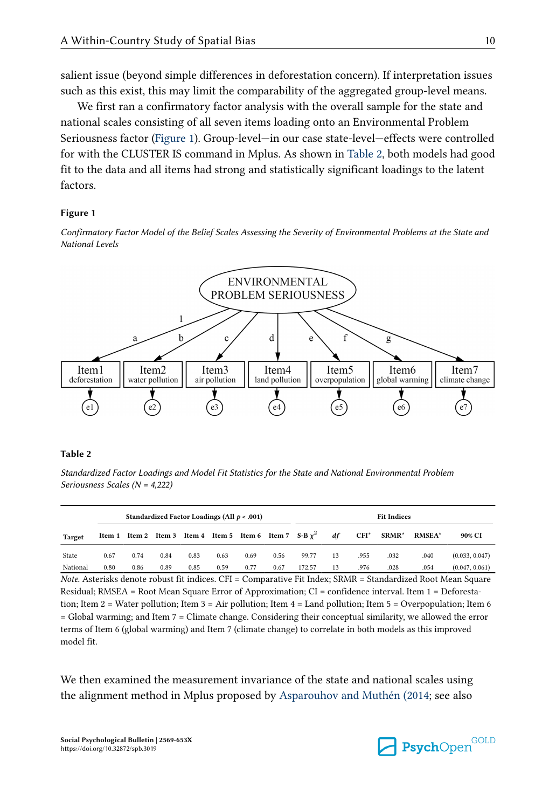<span id="page-9-0"></span>salient issue (beyond simple differences in deforestation concern). If interpretation issues such as this exist, this may limit the comparability of the aggregated group-level means.

We first ran a confirmatory factor analysis with the overall sample for the state and national scales consisting of all seven items loading onto an Environmental Problem Seriousness factor (Figure 1). Group-level—in our case state-level—effects were controlled for with the CLUSTER IS command in Mplus. As shown in Table 2, both models had good fit to the data and all items had strong and statistically significant loadings to the latent factors.

#### Figure 1

Confirmatory Factor Model of the Belief Scales Assessing the Severity of Environmental Problems at the State and National Levels



#### Table 2

Standardized Factor Loadings and Model Fit Statistics for the State and National Environmental Problem Seriousness Scales (N = 4,222)

|          |      |      |      |      | Standardized Factor Loadings (All $p < .001$ ) |      |      |                                                                   |    |                                    | <b>Fit Indices</b> |               |                |
|----------|------|------|------|------|------------------------------------------------|------|------|-------------------------------------------------------------------|----|------------------------------------|--------------------|---------------|----------------|
| Target   |      |      |      |      |                                                |      |      | Item 1 Item 2 Item 3 Item 4 Item 5 Item 6 Item 7 $S-B\gamma^2$ df |    | $\mathbf{C}\mathbf{F}\mathbf{I}^*$ | SRMR*              | <b>RMSEA*</b> | 90% CI         |
| State    | 0.67 | 0.74 | 0.84 | 0.83 | 0.63                                           | 0.69 | 0.56 | 99.77                                                             | 13 | .955                               | .032               | .040          | (0.033, 0.047) |
| National | 0.80 | 0.86 | 0.89 | 0.85 | 0.59                                           | 0.77 | 0.67 | 172.57                                                            | 13 | .976                               | .028               | .054          | (0.047, 0.061) |

Note. Asterisks denote robust fit indices. CFI = Comparative Fit Index; SRMR = Standardized Root Mean Square Residual; RMSEA = Root Mean Square Error of Approximation; CI = confidence interval. Item 1 = Deforestation; Item 2 = Water pollution; Item 3 = Air pollution; Item 4 = Land pollution; Item 5 = Overpopulation; Item 6 = Global warming; and Item 7 = Climate change. Considering their conceptual similarity, we allowed the error terms of Item 6 (global warming) and Item 7 (climate change) to correlate in both models as this improved model fit.

We then examined the measurement invariance of the state and national scales using the alignment method in Mplus proposed by [Asparouhov and Muthén \(2014](#page-18-0); see also

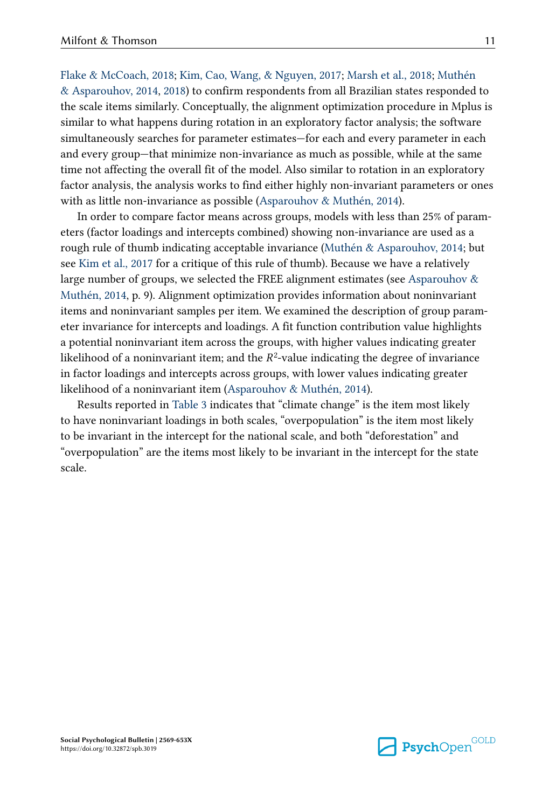[Flake & McCoach, 2018;](#page-18-0) [Kim, Cao, Wang, & Nguyen, 2017](#page-19-0); [Marsh et al., 2018](#page-19-0); [Muthén](#page-20-0) [& Asparouhov, 2014](#page-20-0), [2018](#page-20-0)) to confirm respondents from all Brazilian states responded to the scale items similarly. Conceptually, the alignment optimization procedure in Mplus is similar to what happens during rotation in an exploratory factor analysis; the software simultaneously searches for parameter estimates—for each and every parameter in each and every group—that minimize non-invariance as much as possible, while at the same time not affecting the overall fit of the model. Also similar to rotation in an exploratory factor analysis, the analysis works to find either highly non-invariant parameters or ones with as little non-invariance as possible [\(Asparouhov & Muthén, 2014\)](#page-18-0).

In order to compare factor means across groups, models with less than 25% of parameters (factor loadings and intercepts combined) showing non-invariance are used as a rough rule of thumb indicating acceptable invariance [\(Muthén & Asparouhov, 2014;](#page-20-0) but see [Kim et al., 2017](#page-19-0) for a critique of this rule of thumb). Because we have a relatively large number of groups, we selected the FREE alignment estimates (see Asparouhov  $\&$ [Muthén, 2014](#page-18-0), p. 9). Alignment optimization provides information about noninvariant items and noninvariant samples per item. We examined the description of group param‐ eter invariance for intercepts and loadings. A fit function contribution value highlights a potential noninvariant item across the groups, with higher values indicating greater likelihood of a noninvariant item; and the  $R^2$ -value indicating the degree of invariance in factor loadings and intercepts across groups, with lower values indicating greater likelihood of a noninvariant item [\(Asparouhov & Muthén, 2014\)](#page-18-0).

Results reported in [Table 3](#page-11-0) indicates that "climate change" is the item most likely to have noninvariant loadings in both scales, "overpopulation" is the item most likely to be invariant in the intercept for the national scale, and both "deforestation" and "overpopulation" are the items most likely to be invariant in the intercept for the state scale.



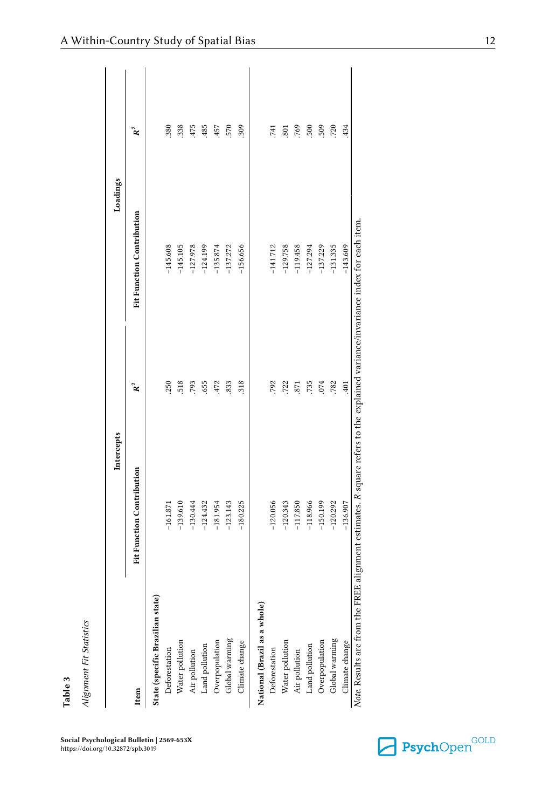<span id="page-11-0"></span>

|                                  | Intercepts                                                                                                                    |                | Loadings                  |       |
|----------------------------------|-------------------------------------------------------------------------------------------------------------------------------|----------------|---------------------------|-------|
| Item                             | Fit Function Contribution                                                                                                     | $\mathbf{R}^2$ | Fit Function Contribution | $R^2$ |
| State (specific Brazilian state) |                                                                                                                               |                |                           |       |
| Deforestation                    | $-161.871$                                                                                                                    | 250            | $-145.608$                | .380  |
|                                  | $-139.610$                                                                                                                    | 518            | $-145.105$                | 338   |
| Water pollution<br>Air pollution | $-130.444$                                                                                                                    | 793            | $-127.978$                | 475   |
| Land pollution                   | $-124.432$                                                                                                                    | 655            | $-124.199$                | 485   |
| Overpopulation                   | $-181.954$                                                                                                                    | 472            | $-135.874$                | 457   |
| Global warming                   | $-123.143$                                                                                                                    | 833            | $-137.272$                | 570   |
| Climate change                   | $-180.225$                                                                                                                    | 318            | $-156.656$                | 309   |
| National (Brazil as a whole)     |                                                                                                                               |                |                           |       |
| Deforestation                    | $-120.056$                                                                                                                    | 792            | $-141.712$                | 741   |
| Water pollution<br>Air pollution | $-120.343$                                                                                                                    | 722            | $-129.758$                | 801   |
|                                  | $-117.850$                                                                                                                    | 871            | $-119.458$                | 769   |
| Land pollution                   | $-118.966$                                                                                                                    | .735           | $-127.294$                | 500   |
| Overpopulation                   | $-150.199$                                                                                                                    | .074           | $-137.229$                | 509   |
| Global warming                   | $-120.292$                                                                                                                    | .782           | $-131.335$                | 720   |
| Climate change                   | $-136.907$                                                                                                                    | 401            | $-143.609$                | 434   |
|                                  | Note. Results are from the FREE alignment estimates. R-square refers to the explained variance/invariance index for each item |                |                           |       |

Social Psychological Bulletin | 2569-653X https://doi.org/10.32872/spb.3019

Table 3

Alignment Fit Statistics

Alignment Fit Statistics

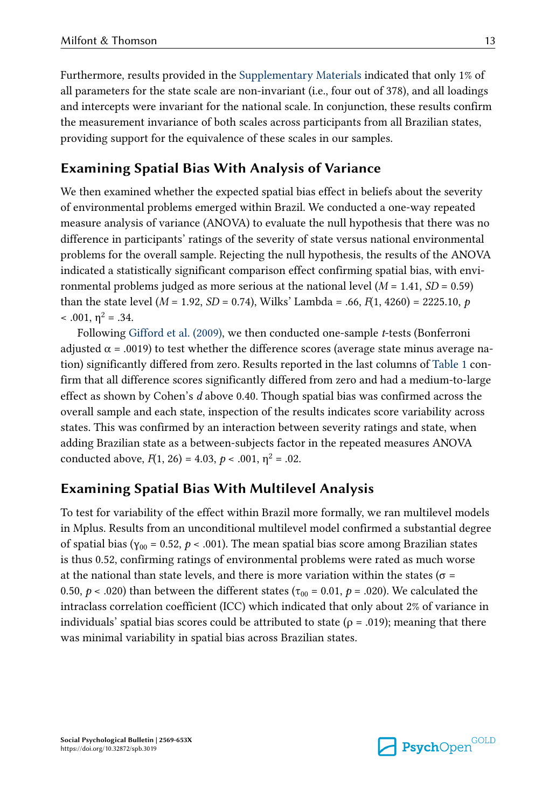Furthermore, results provided in the [Supplementary Materials](#page-17-0) indicated that only 1% of all parameters for the state scale are non-invariant (i.e., four out of 378), and all loadings and intercepts were invariant for the national scale. In conjunction, these results confirm the measurement invariance of both scales across participants from all Brazilian states, providing support for the equivalence of these scales in our samples.

# Examining Spatial Bias With Analysis of Variance

We then examined whether the expected spatial bias effect in beliefs about the severity of environmental problems emerged within Brazil. We conducted a one-way repeated measure analysis of variance (ANOVA) to evaluate the null hypothesis that there was no difference in participants' ratings of the severity of state versus national environmental problems for the overall sample. Rejecting the null hypothesis, the results of the ANOVA indicated a statistically significant comparison effect confirming spatial bias, with environmental problems judged as more serious at the national level  $(M = 1.41, SD = 0.59)$ than the state level ( $M = 1.92$ ,  $SD = 0.74$ ), Wilks' Lambda = .66,  $F(1, 4260) = 2225.10$ , p  $< .001, \eta^2 = .34.$ 

Following [Gifford et al. \(2009\),](#page-19-0) we then conducted one-sample t-tests (Bonferroni adjusted  $\alpha$  = .0019) to test whether the difference scores (average state minus average nation) significantly differed from zero. Results reported in the last columns of [Table 1](#page-7-0) con‐ firm that all difference scores significantly differed from zero and had a medium-to-large effect as shown by Cohen's d above 0.40. Though spatial bias was confirmed across the overall sample and each state, inspection of the results indicates score variability across states. This was confirmed by an interaction between severity ratings and state, when adding Brazilian state as a between-subjects factor in the repeated measures ANOVA conducted above,  $F(1, 26) = 4.03$ ,  $p < .001$ ,  $\eta^2 = .02$ .

## Examining Spatial Bias With Multilevel Analysis

To test for variability of the effect within Brazil more formally, we ran multilevel models in Mplus. Results from an unconditional multilevel model confirmed a substantial degree of spatial bias (γ<sub>00</sub> = 0.52, *p* < .001). The mean spatial bias score among Brazilian states is thus 0.52, confirming ratings of environmental problems were rated as much worse at the national than state levels, and there is more variation within the states ( $\sigma$  = 0.50,  $p < .020$ ) than between the different states ( $\tau_{00} = 0.01$ ,  $p = .020$ ). We calculated the intraclass correlation coefficient (ICC) which indicated that only about 2% of variance in individuals' spatial bias scores could be attributed to state ( $\rho = .019$ ); meaning that there was minimal variability in spatial bias across Brazilian states.



Social Psychological Bulletin | 2569-653X https://doi.org/10.32872/spb.3019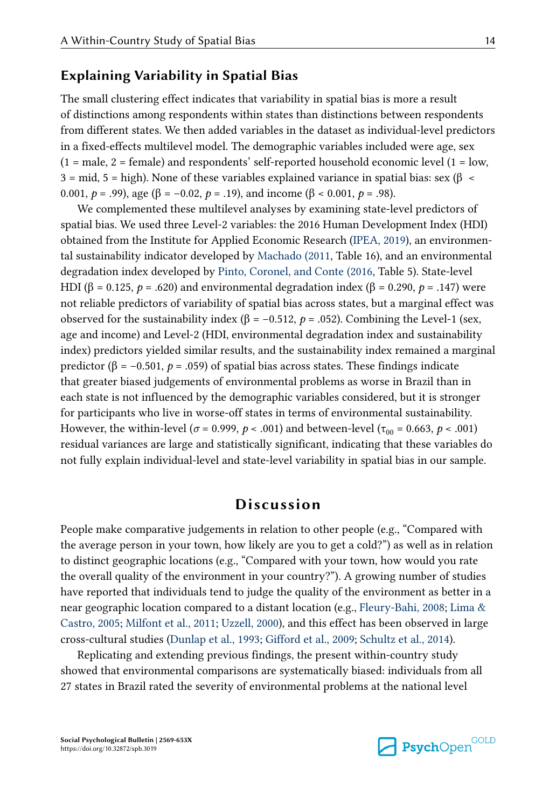## Explaining Variability in Spatial Bias

The small clustering effect indicates that variability in spatial bias is more a result of distinctions among respondents within states than distinctions between respondents from different states. We then added variables in the dataset as individual-level predictors in a fixed-effects multilevel model. The demographic variables included were age, sex  $(1 = male, 2 = female)$  and respondents' self-reported household economic level  $(1 = low, 1)$  $3 = mid, 5 = high$ ). None of these variables explained variance in spatial bias: sex (β < 0.001,  $p = .99$ ), age ( $\beta = -0.02$ ,  $p = .19$ ), and income ( $\beta < 0.001$ ,  $p = .98$ ).

We complemented these multilevel analyses by examining state-level predictors of spatial bias. We used three Level-2 variables: the 2016 Human Development Index (HDI) obtained from the Institute for Applied Economic Research [\(IPEA, 2019](#page-19-0)), an environmen‐ tal sustainability indicator developed by [Machado \(2011](#page-19-0), Table 16), and an environmental degradation index developed by [Pinto, Coronel, and Conte \(2016,](#page-20-0) Table 5). State-level HDI (β = 0.125, p = .620) and environmental degradation index (β = 0.290, p = .147) were not reliable predictors of variability of spatial bias across states, but a marginal effect was observed for the sustainability index (β = -0.512,  $p$  = .052). Combining the Level-1 (sex, age and income) and Level-2 (HDI, environmental degradation index and sustainability index) predictors yielded similar results, and the sustainability index remained a marginal predictor (β = -0.501,  $p = .059$ ) of spatial bias across states. These findings indicate that greater biased judgements of environmental problems as worse in Brazil than in each state is not influenced by the demographic variables considered, but it is stronger for participants who live in worse-off states in terms of environmental sustainability. However, the within-level ( $\sigma$  = 0.999,  $p$  < .001) and between-level ( $\tau_{00}$  = 0.663,  $p$  < .001) residual variances are large and statistically significant, indicating that these variables do not fully explain individual-level and state-level variability in spatial bias in our sample.

## Discussion

People make comparative judgements in relation to other people (e.g., "Compared with the average person in your town, how likely are you to get a cold?") as well as in relation to distinct geographic locations (e.g., "Compared with your town, how would you rate the overall quality of the environment in your country?"). A growing number of studies have reported that individuals tend to judge the quality of the environment as better in a near geographic location compared to a distant location (e.g., [Fleury-Bahi, 2008](#page-18-0); [Lima &](#page-19-0) [Castro, 2005;](#page-19-0) [Milfont et al., 2011;](#page-19-0) [Uzzell, 2000\)](#page-21-0), and this effect has been observed in large cross-cultural studies [\(Dunlap et al., 1993;](#page-18-0) [Gifford et al., 2009](#page-19-0); [Schultz et al., 2014](#page-20-0)).

Replicating and extending previous findings, the present within-country study showed that environmental comparisons are systematically biased: individuals from all 27 states in Brazil rated the severity of environmental problems at the national level

Social Psychological Bulletin | 2569-653X https://doi.org/10.32872/spb.3019

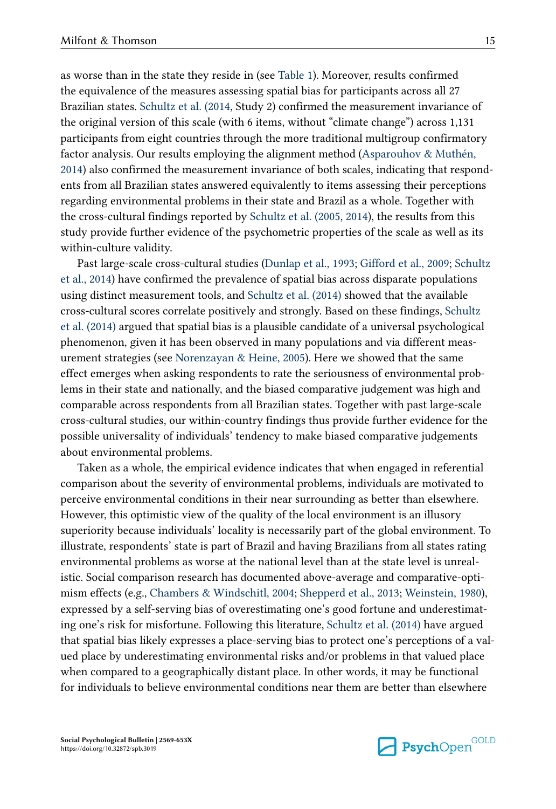as worse than in the state they reside in (see [Table 1](#page-7-0)). Moreover, results confirmed the equivalence of the measures assessing spatial bias for participants across all 27 Brazilian states. [Schultz et al. \(2014,](#page-20-0) Study 2) confirmed the measurement invariance of the original version of this scale (with 6 items, without "climate change") across 1,131 participants from eight countries through the more traditional multigroup confirmatory factor analysis. Our results employing the alignment method ([Asparouhov & Muthén,](#page-18-0) [2014\)](#page-18-0) also confirmed the measurement invariance of both scales, indicating that respond‐ ents from all Brazilian states answered equivalently to items assessing their perceptions regarding environmental problems in their state and Brazil as a whole. Together with the cross-cultural findings reported by [Schultz et al. \(2005](#page-20-0), [2014\)](#page-20-0), the results from this study provide further evidence of the psychometric properties of the scale as well as its within-culture validity.

Past large-scale cross-cultural studies [\(Dunlap et al., 1993](#page-18-0); [Gifford et al., 2009](#page-19-0); [Schultz](#page-20-0) [et al., 2014\)](#page-20-0) have confirmed the prevalence of spatial bias across disparate populations using distinct measurement tools, and [Schultz et al. \(2014\)](#page-20-0) showed that the available cross-cultural scores correlate positively and strongly. Based on these findings, [Schultz](#page-20-0) [et al. \(2014\)](#page-20-0) argued that spatial bias is a plausible candidate of a universal psychological phenomenon, given it has been observed in many populations and via different meas‐ urement strategies (see [Norenzayan & Heine, 2005\)](#page-20-0). Here we showed that the same effect emerges when asking respondents to rate the seriousness of environmental prob‐ lems in their state and nationally, and the biased comparative judgement was high and comparable across respondents from all Brazilian states. Together with past large-scale cross-cultural studies, our within-country findings thus provide further evidence for the possible universality of individuals' tendency to make biased comparative judgements about environmental problems.

Taken as a whole, the empirical evidence indicates that when engaged in referential comparison about the severity of environmental problems, individuals are motivated to perceive environmental conditions in their near surrounding as better than elsewhere. However, this optimistic view of the quality of the local environment is an illusory superiority because individuals' locality is necessarily part of the global environment. To illustrate, respondents' state is part of Brazil and having Brazilians from all states rating environmental problems as worse at the national level than at the state level is unreal‐ istic. Social comparison research has documented above-average and comparative-optimism effects (e.g., [Chambers & Windschitl, 2004;](#page-18-0) [Shepperd et al., 2013](#page-20-0); [Weinstein, 1980](#page-21-0)), expressed by a self-serving bias of overestimating one's good fortune and underestimating one's risk for misfortune. Following this literature, [Schultz et al. \(2014\)](#page-20-0) have argued that spatial bias likely expresses a place-serving bias to protect one's perceptions of a val‐ ued place by underestimating environmental risks and/or problems in that valued place when compared to a geographically distant place. In other words, it may be functional for individuals to believe environmental conditions near them are better than elsewhere

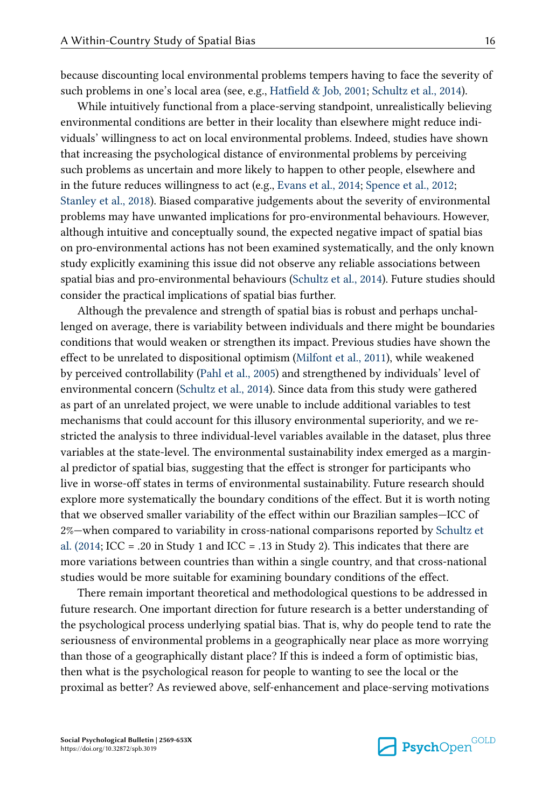because discounting local environmental problems tempers having to face the severity of such problems in one's local area (see, e.g., [Hatfield & Job, 2001;](#page-19-0) [Schultz et al., 2014\)](#page-20-0).

While intuitively functional from a place-serving standpoint, unrealistically believing environmental conditions are better in their locality than elsewhere might reduce individuals' willingness to act on local environmental problems. Indeed, studies have shown that increasing the psychological distance of environmental problems by perceiving such problems as uncertain and more likely to happen to other people, elsewhere and in the future reduces willingness to act (e.g., [Evans et al., 2014](#page-18-0); [Spence et al., 2012](#page-20-0); [Stanley et al., 2018\)](#page-20-0). Biased comparative judgements about the severity of environmental problems may have unwanted implications for pro-environmental behaviours. However, although intuitive and conceptually sound, the expected negative impact of spatial bias on pro-environmental actions has not been examined systematically, and the only known study explicitly examining this issue did not observe any reliable associations between spatial bias and pro-environmental behaviours [\(Schultz et al., 2014\)](#page-20-0). Future studies should consider the practical implications of spatial bias further.

Although the prevalence and strength of spatial bias is robust and perhaps unchal‐ lenged on average, there is variability between individuals and there might be boundaries conditions that would weaken or strengthen its impact. Previous studies have shown the effect to be unrelated to dispositional optimism [\(Milfont et al., 2011](#page-19-0)), while weakened by perceived controllability ([Pahl et al., 2005\)](#page-20-0) and strengthened by individuals' level of environmental concern [\(Schultz et al., 2014\)](#page-20-0). Since data from this study were gathered as part of an unrelated project, we were unable to include additional variables to test mechanisms that could account for this illusory environmental superiority, and we restricted the analysis to three individual-level variables available in the dataset, plus three variables at the state-level. The environmental sustainability index emerged as a margin‐ al predictor of spatial bias, suggesting that the effect is stronger for participants who live in worse-off states in terms of environmental sustainability. Future research should explore more systematically the boundary conditions of the effect. But it is worth noting that we observed smaller variability of the effect within our Brazilian samples—ICC of 2%—when compared to variability in cross-national comparisons reported by [Schultz et](#page-20-0) [al. \(2014](#page-20-0); ICC = .20 in Study 1 and ICC = .13 in Study 2). This indicates that there are more variations between countries than within a single country, and that cross-national studies would be more suitable for examining boundary conditions of the effect.

There remain important theoretical and methodological questions to be addressed in future research. One important direction for future research is a better understanding of the psychological process underlying spatial bias. That is, why do people tend to rate the seriousness of environmental problems in a geographically near place as more worrying than those of a geographically distant place? If this is indeed a form of optimistic bias, then what is the psychological reason for people to wanting to see the local or the proximal as better? As reviewed above, self-enhancement and place-serving motivations

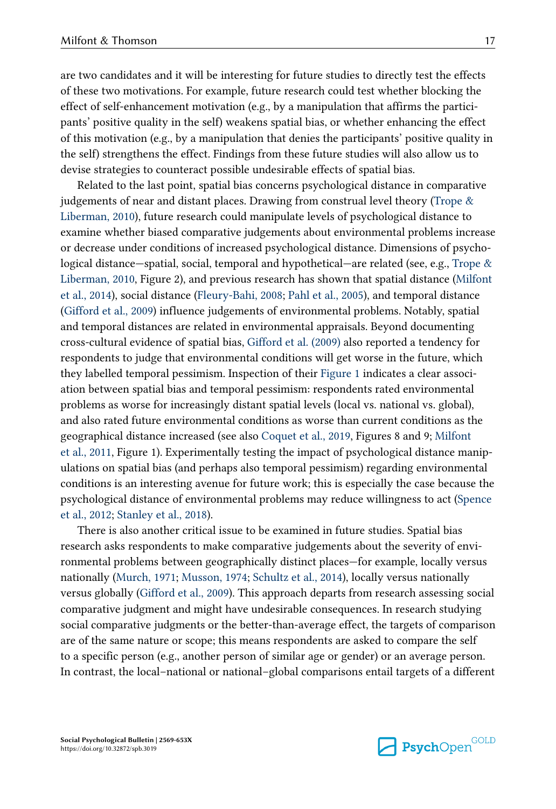are two candidates and it will be interesting for future studies to directly test the effects of these two motivations. For example, future research could test whether blocking the effect of self-enhancement motivation (e.g., by a manipulation that affirms the participants' positive quality in the self) weakens spatial bias, or whether enhancing the effect of this motivation (e.g., by a manipulation that denies the participants' positive quality in the self) strengthens the effect. Findings from these future studies will also allow us to devise strategies to counteract possible undesirable effects of spatial bias.

Related to the last point, spatial bias concerns psychological distance in comparative judgements of near and distant places. Drawing from construal level theory (Trope  $\&$ [Liberman, 2010](#page-21-0)), future research could manipulate levels of psychological distance to examine whether biased comparative judgements about environmental problems increase or decrease under conditions of increased psychological distance. Dimensions of psycho‐ logical distance—spatial, social, temporal and hypothetical—are related (see, e.g., [Trope &](#page-21-0) [Liberman, 2010](#page-21-0), Figure 2), and previous research has shown that spatial distance [\(Milfont](#page-20-0) [et al., 2014\)](#page-20-0), social distance [\(Fleury-Bahi, 2008;](#page-18-0) [Pahl et al., 2005](#page-20-0)), and temporal distance [\(Gifford et al., 2009\)](#page-19-0) influence judgements of environmental problems. Notably, spatial and temporal distances are related in environmental appraisals. Beyond documenting cross-cultural evidence of spatial bias, [Gifford et al. \(2009\)](#page-19-0) also reported a tendency for respondents to judge that environmental conditions will get worse in the future, which they labelled temporal pessimism. Inspection of their [Figure 1](#page-9-0) indicates a clear association between spatial bias and temporal pessimism: respondents rated environmental problems as worse for increasingly distant spatial levels (local vs. national vs. global), and also rated future environmental conditions as worse than current conditions as the geographical distance increased (see also [Coquet et al., 2019,](#page-18-0) Figures 8 and 9; [Milfont](#page-19-0) [et al., 2011,](#page-19-0) Figure 1). Experimentally testing the impact of psychological distance manip‐ ulations on spatial bias (and perhaps also temporal pessimism) regarding environmental conditions is an interesting avenue for future work; this is especially the case because the psychological distance of environmental problems may reduce willingness to act [\(Spence](#page-20-0) [et al., 2012;](#page-20-0) [Stanley et al., 2018](#page-20-0)).

There is also another critical issue to be examined in future studies. Spatial bias research asks respondents to make comparative judgements about the severity of environmental problems between geographically distinct places—for example, locally versus nationally ([Murch, 1971](#page-20-0); [Musson, 1974](#page-20-0); [Schultz et al., 2014](#page-20-0)), locally versus nationally versus globally ([Gifford et al., 2009\)](#page-19-0). This approach departs from research assessing social comparative judgment and might have undesirable consequences. In research studying social comparative judgments or the better-than-average effect, the targets of comparison are of the same nature or scope; this means respondents are asked to compare the self to a specific person (e.g., another person of similar age or gender) or an average person. In contrast, the local–national or national–global comparisons entail targets of a different

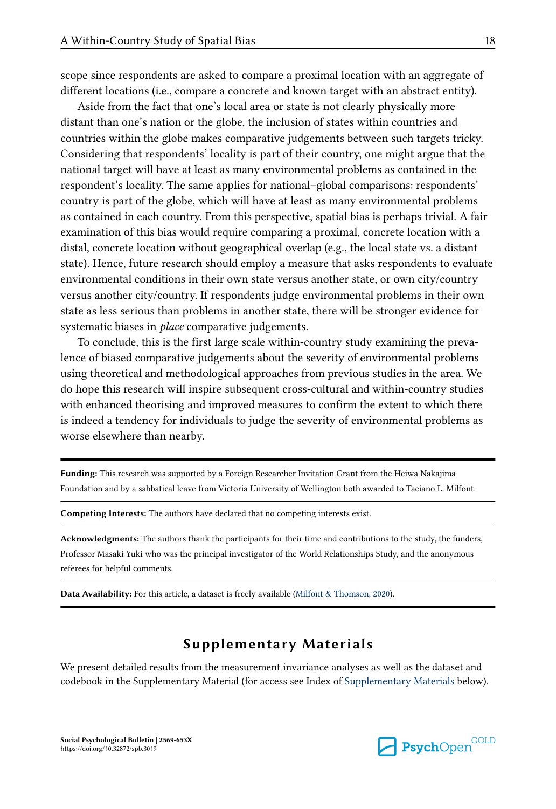<span id="page-17-0"></span>scope since respondents are asked to compare a proximal location with an aggregate of different locations (i.e., compare a concrete and known target with an abstract entity).

Aside from the fact that one's local area or state is not clearly physically more distant than one's nation or the globe, the inclusion of states within countries and countries within the globe makes comparative judgements between such targets tricky. Considering that respondents' locality is part of their country, one might argue that the national target will have at least as many environmental problems as contained in the respondent's locality. The same applies for national–global comparisons: respondents' country is part of the globe, which will have at least as many environmental problems as contained in each country. From this perspective, spatial bias is perhaps trivial. A fair examination of this bias would require comparing a proximal, concrete location with a distal, concrete location without geographical overlap (e.g., the local state vs. a distant state). Hence, future research should employ a measure that asks respondents to evaluate environmental conditions in their own state versus another state, or own city/country versus another city/country. If respondents judge environmental problems in their own state as less serious than problems in another state, there will be stronger evidence for systematic biases in *place* comparative judgements.

To conclude, this is the first large scale within-country study examining the preva‐ lence of biased comparative judgements about the severity of environmental problems using theoretical and methodological approaches from previous studies in the area. We do hope this research will inspire subsequent cross-cultural and within-country studies with enhanced theorising and improved measures to confirm the extent to which there is indeed a tendency for individuals to judge the severity of environmental problems as worse elsewhere than nearby.

Funding: This research was supported by a Foreign Researcher Invitation Grant from the Heiwa Nakajima Foundation and by a sabbatical leave from Victoria University of Wellington both awarded to Taciano L. Milfont.

Competing Interests: The authors have declared that no competing interests exist.

Acknowledgments: The authors thank the participants for their time and contributions to the study, the funders, Professor Masaki Yuki who was the principal investigator of the World Relationships Study, and the anonymous referees for helpful comments.

Data Availability: For this article, a dataset is freely available ([Milfont & Thomson, 2020](#page-18-0)).

## Supplementary Materials

We present detailed results from the measurement invariance analyses as well as the dataset and codebook in the Supplementary Material (for access see Index of Supplementary Materials below).

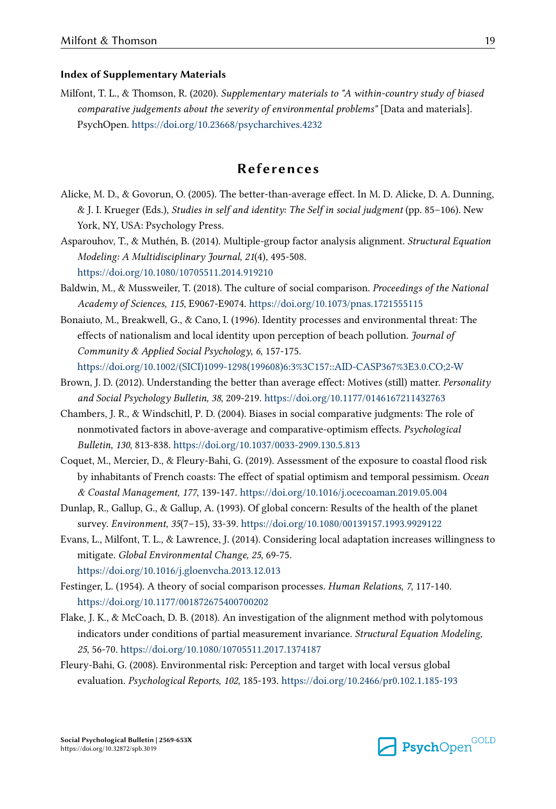#### <span id="page-18-0"></span>Index of Supplementary Materials

Milfont, T. L., & Thomson, R. (2020). Supplementary materials to "A within-country study of biased comparative judgements about the severity of environmental problems" [Data and materials]. PsychOpen.<https://doi.org/10.23668/psycharchives.4232>

## References

- Alicke, M. D., & Govorun, O. (2005). The better-than-average effect. In M. D. Alicke, D. A. Dunning, & J. I. Krueger (Eds.), Studies in self and identity: The Self in social judgment (pp. 85–106). New York, NY, USA: Psychology Press.
- Asparouhov, T., & Muthén, B. (2014). Multiple-group factor analysis alignment. Structural Equation Modeling: A Multidisciplinary Journal, 21(4), 495-508. <https://doi.org/10.1080/10705511.2014.919210>
- Baldwin, M., & Mussweiler, T. (2018). The culture of social comparison. Proceedings of the National Academy of Sciences, 115, E9067-E9074. <https://doi.org/10.1073/pnas.1721555115>
- Bonaiuto, M., Breakwell, G., & Cano, I. (1996). Identity processes and environmental threat: The effects of nationalism and local identity upon perception of beach pollution. Journal of Community & Applied Social Psychology, 6, 157-175. [https://doi.org/10.1002/\(SICI\)1099-1298\(199608\)6:3%3C157::AID-CASP367%3E3.0.CO;2-W](https://doi.org/10.1002/(SICI)1099-1298(199608)6:3%3C157::AID-CASP367%3E3.0.CO;2-W)
- Brown, J. D. (2012). Understanding the better than average effect: Motives (still) matter. Personality and Social Psychology Bulletin, 38, 209-219. <https://doi.org/10.1177/0146167211432763>
- Chambers, J. R., & Windschitl, P. D. (2004). Biases in social comparative judgments: The role of nonmotivated factors in above-average and comparative-optimism effects. Psychological Bulletin, 130, 813-838.<https://doi.org/10.1037/0033-2909.130.5.813>
- Coquet, M., Mercier, D., & Fleury-Bahi, G. (2019). Assessment of the exposure to coastal flood risk by inhabitants of French coasts: The effect of spatial optimism and temporal pessimism. Ocean & Coastal Management, 177, 139-147.<https://doi.org/10.1016/j.ocecoaman.2019.05.004>
- Dunlap, R., Gallup, G., & Gallup, A. (1993). Of global concern: Results of the health of the planet survey. Environment, 35(7–15), 33-39. <https://doi.org/10.1080/00139157.1993.9929122>
- Evans, L., Milfont, T. L., & Lawrence, J. (2014). Considering local adaptation increases willingness to mitigate. Global Environmental Change, 25, 69-75. <https://doi.org/10.1016/j.gloenvcha.2013.12.013>
- Festinger, L. (1954). A theory of social comparison processes. Human Relations, 7, 117-140. <https://doi.org/10.1177/001872675400700202>
- Flake, J. K., & McCoach, D. B. (2018). An investigation of the alignment method with polytomous indicators under conditions of partial measurement invariance. Structural Equation Modeling, 25, 56-70.<https://doi.org/10.1080/10705511.2017.1374187>
- Fleury-Bahi, G. (2008). Environmental risk: Perception and target with local versus global evaluation. Psychological Reports, 102, 185-193. <https://doi.org/10.2466/pr0.102.1.185-193>

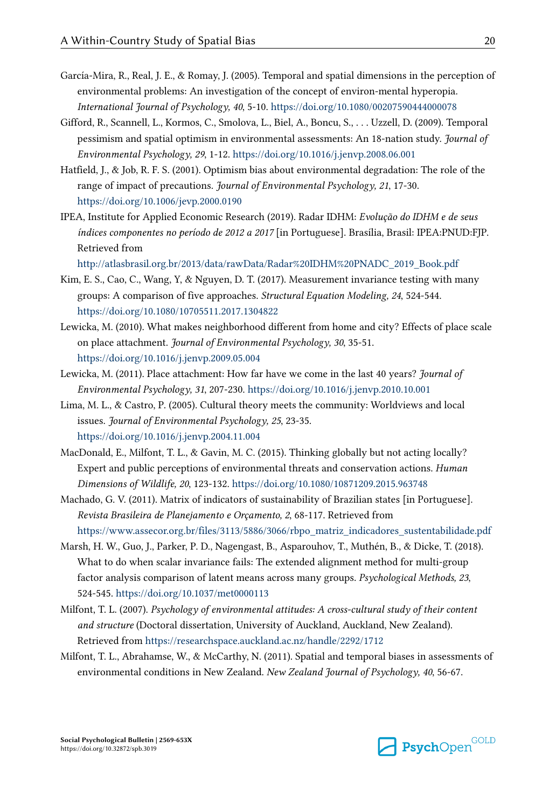- <span id="page-19-0"></span>García-Mira, R., Real, J. E., & Romay, J. (2005). Temporal and spatial dimensions in the perception of environmental problems: An investigation of the concept of environ-mental hyperopia. International Journal of Psychology, 40, 5-10.<https://doi.org/10.1080/00207590444000078>
- Gifford, R., Scannell, L., Kormos, C., Smolova, L., Biel, A., Boncu, S., . . . Uzzell, D. (2009). Temporal pessimism and spatial optimism in environmental assessments: An 18-nation study. Journal of Environmental Psychology, 29, 1-12.<https://doi.org/10.1016/j.jenvp.2008.06.001>
- Hatfield, J., & Job, R. F. S. (2001). Optimism bias about environmental degradation: The role of the range of impact of precautions. Journal of Environmental Psychology, 21, 17-30. <https://doi.org/10.1006/jevp.2000.0190>
- IPEA, Institute for Applied Economic Research (2019). Radar IDHM: Evolução do IDHM e de seus índices componentes no período de 2012 a 2017 [in Portuguese]. Brasília, Brasil: IPEA:PNUD:FJP. Retrieved from

[http://atlasbrasil.org.br/2013/data/rawData/Radar%20IDHM%20PNADC\\_2019\\_Book.pdf](http://atlasbrasil.org.br/2013/data/rawData/Radar%20IDHM%20PNADC_2019_Book.pdf)

- Kim, E. S., Cao, C., Wang, Y, & Nguyen, D. T. (2017). Measurement invariance testing with many groups: A comparison of five approaches. Structural Equation Modeling, 24, 524-544. <https://doi.org/10.1080/10705511.2017.1304822>
- Lewicka, M. (2010). What makes neighborhood different from home and city? Effects of place scale on place attachment. Journal of Environmental Psychology, 30, 35-51. <https://doi.org/10.1016/j.jenvp.2009.05.004>
- Lewicka, M. (2011). Place attachment: How far have we come in the last 40 years? Journal of Environmental Psychology, 31, 207-230. <https://doi.org/10.1016/j.jenvp.2010.10.001>
- Lima, M. L., & Castro, P. (2005). Cultural theory meets the community: Worldviews and local issues. Journal of Environmental Psychology, 25, 23-35. <https://doi.org/10.1016/j.jenvp.2004.11.004>
- MacDonald, E., Milfont, T. L., & Gavin, M. C. (2015). Thinking globally but not acting locally? Expert and public perceptions of environmental threats and conservation actions. Human Dimensions of Wildlife, 20, 123-132.<https://doi.org/10.1080/10871209.2015.963748>
- Machado, G. V. (2011). Matrix of indicators of sustainability of Brazilian states [in Portuguese]. Revista Brasileira de Planejamento e Orçamento, 2, 68-117. Retrieved from [https://www.assecor.org.br/files/3113/5886/3066/rbpo\\_matriz\\_indicadores\\_sustentabilidade.pdf](https://www.assecor.org.br/files/3113/5886/3066/rbpo_matriz_indicadores_sustentabilidade.pdf)
- Marsh, H. W., Guo, J., Parker, P. D., Nagengast, B., Asparouhov, T., Muthén, B., & Dicke, T. (2018). What to do when scalar invariance fails: The extended alignment method for multi-group factor analysis comparison of latent means across many groups. Psychological Methods, 23, 524-545. <https://doi.org/10.1037/met0000113>
- Milfont, T. L. (2007). Psychology of environmental attitudes: A cross-cultural study of their content and structure (Doctoral dissertation, University of Auckland, Auckland, New Zealand). Retrieved from<https://researchspace.auckland.ac.nz/handle/2292/1712>
- Milfont, T. L., Abrahamse, W., & McCarthy, N. (2011). Spatial and temporal biases in assessments of environmental conditions in New Zealand. New Zealand Journal of Psychology, 40, 56-67.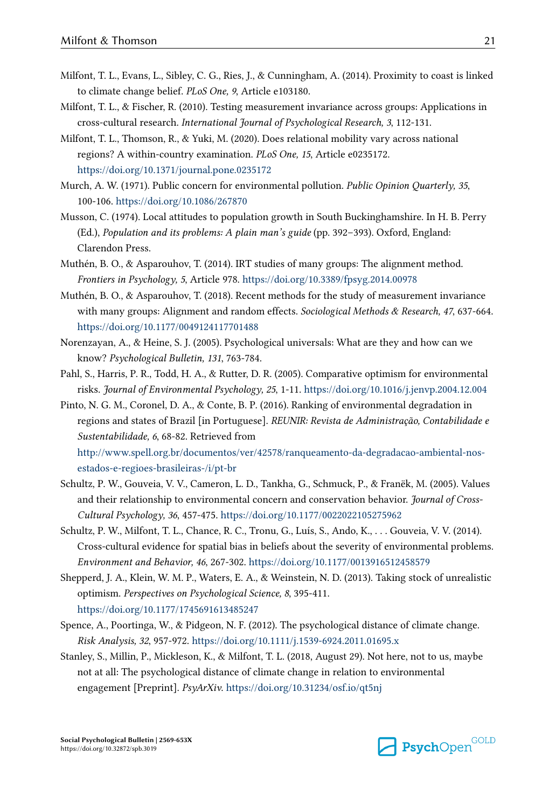- <span id="page-20-0"></span>Milfont, T. L., Evans, L., Sibley, C. G., Ries, J., & Cunningham, A. (2014). Proximity to coast is linked to climate change belief. PLoS One, 9, Article e103180.
- Milfont, T. L., & Fischer, R. (2010). Testing measurement invariance across groups: Applications in cross-cultural research. International Journal of Psychological Research, 3, 112-131.
- Milfont, T. L., Thomson, R., & Yuki, M. (2020). Does relational mobility vary across national regions? A within-country examination. PLoS One, 15, Article e0235172. <https://doi.org/10.1371/journal.pone.0235172>
- Murch, A. W. (1971). Public concern for environmental pollution. Public Opinion Quarterly, 35, 100-106. <https://doi.org/10.1086/267870>
- Musson, C. (1974). Local attitudes to population growth in South Buckinghamshire. In H. B. Perry (Ed.), Population and its problems: A plain man's guide (pp. 392–393). Oxford, England: Clarendon Press.
- Muthén, B. O., & Asparouhov, T. (2014). IRT studies of many groups: The alignment method. Frontiers in Psychology, 5, Article 978.<https://doi.org/10.3389/fpsyg.2014.00978>
- Muthén, B. O., & Asparouhov, T. (2018). Recent methods for the study of measurement invariance with many groups: Alignment and random effects. Sociological Methods & Research, 47, 637-664. <https://doi.org/10.1177/0049124117701488>
- Norenzayan, A., & Heine, S. J. (2005). Psychological universals: What are they and how can we know? Psychological Bulletin, 131, 763-784.
- Pahl, S., Harris, P. R., Todd, H. A., & Rutter, D. R. (2005). Comparative optimism for environmental risks. Journal of Environmental Psychology, 25, 1-11.<https://doi.org/10.1016/j.jenvp.2004.12.004>
- Pinto, N. G. M., Coronel, D. A., & Conte, B. P. (2016). Ranking of environmental degradation in regions and states of Brazil [in Portuguese]. REUNIR: Revista de Administração, Contabilidade e Sustentabilidade, 6, 68-82. Retrieved from [http://www.spell.org.br/documentos/ver/42578/ranqueamento-da-degradacao-ambiental-nos](http://www.spell.org.br/documentos/ver/42578/ranqueamento-da-degradacao-ambiental-nos-estados-e-regioes-brasileiras-/i/pt-br)[estados-e-regioes-brasileiras-/i/pt-br](http://www.spell.org.br/documentos/ver/42578/ranqueamento-da-degradacao-ambiental-nos-estados-e-regioes-brasileiras-/i/pt-br)
- Schultz, P. W., Gouveia, V. V., Cameron, L. D., Tankha, G., Schmuck, P., & Franëk, M. (2005). Values and their relationship to environmental concern and conservation behavior. Journal of Cross-Cultural Psychology, 36, 457-475. <https://doi.org/10.1177/0022022105275962>
- Schultz, P. W., Milfont, T. L., Chance, R. C., Tronu, G., Luís, S., Ando, K., . . . Gouveia, V. V. (2014). Cross-cultural evidence for spatial bias in beliefs about the severity of environmental problems. Environment and Behavior, 46, 267-302. <https://doi.org/10.1177/0013916512458579>
- Shepperd, J. A., Klein, W. M. P., Waters, E. A., & Weinstein, N. D. (2013). Taking stock of unrealistic optimism. Perspectives on Psychological Science, 8, 395-411. <https://doi.org/10.1177/1745691613485247>
- Spence, A., Poortinga, W., & Pidgeon, N. F. (2012). The psychological distance of climate change. Risk Analysis, 32, 957-972. <https://doi.org/10.1111/j.1539-6924.2011.01695.x>
- Stanley, S., Millin, P., Mickleson, K., & Milfont, T. L. (2018, August 29). Not here, not to us, maybe not at all: The psychological distance of climate change in relation to environmental engagement [Preprint]. PsyArXiv.<https://doi.org/10.31234/osf.io/qt5nj>